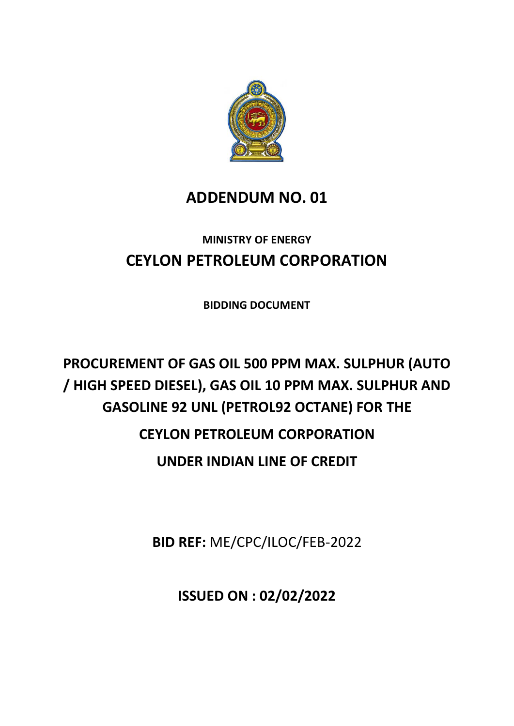

# **ADDENDUM NO. 01**

# **MINISTRY OF ENERGY CEYLON PETROLEUM CORPORATION**

**BIDDING DOCUMENT**

# **PROCUREMENT OF GAS OIL 500 PPM MAX. SULPHUR (AUTO / HIGH SPEED DIESEL), GAS OIL 10 PPM MAX. SULPHUR AND GASOLINE 92 UNL (PETROL92 OCTANE) FOR THE CEYLON PETROLEUM CORPORATION UNDER INDIAN LINE OF CREDIT**

**BID REF:** ME/CPC/ILOC/FEB-2022

**ISSUED ON : 02/02/2022**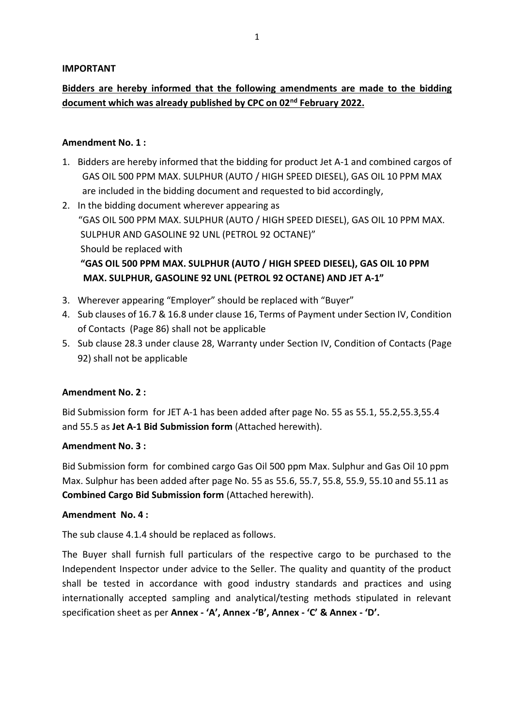#### **IMPORTANT**

# **Bidders are hereby informed that the following amendments are made to the bidding document which was already published by CPC on 02nd February 2022.**

#### **Amendment No. 1 :**

- 1. Bidders are hereby informed that the bidding for product Jet A-1 and combined cargos of GAS OIL 500 PPM MAX. SULPHUR (AUTO / HIGH SPEED DIESEL), GAS OIL 10 PPM MAX are included in the bidding document and requested to bid accordingly,
- 2. In the bidding document wherever appearing as "GAS OIL 500 PPM MAX. SULPHUR (AUTO / HIGH SPEED DIESEL), GAS OIL 10 PPM MAX. SULPHUR AND GASOLINE 92 UNL (PETROL 92 OCTANE)" Should be replaced with  **"GAS OIL 500 PPM MAX. SULPHUR (AUTO / HIGH SPEED DIESEL), GAS OIL 10 PPM MAX. SULPHUR, GASOLINE 92 UNL (PETROL 92 OCTANE) AND JET A-1"**
- 3. Wherever appearing "Employer" should be replaced with "Buyer"
- 4. Sub clauses of 16.7 & 16.8 under clause 16, Terms of Payment under Section IV, Condition of Contacts (Page 86) shall not be applicable
- 5. Sub clause 28.3 under clause 28, Warranty under Section IV, Condition of Contacts (Page 92) shall not be applicable

#### **Amendment No. 2 :**

Bid Submission form for JET A-1 has been added after page No. 55 as 55.1, 55.2,55.3,55.4 and 55.5 as **Jet A-1 Bid Submission form** (Attached herewith).

#### **Amendment No. 3 :**

Bid Submission form for combined cargo Gas Oil 500 ppm Max. Sulphur and Gas Oil 10 ppm Max. Sulphur has been added after page No. 55 as 55.6, 55.7, 55.8, 55.9, 55.10 and 55.11 as **Combined Cargo Bid Submission form** (Attached herewith).

#### **Amendment No. 4 :**

The sub clause 4.1.4 should be replaced as follows.

The Buyer shall furnish full particulars of the respective cargo to be purchased to the Independent Inspector under advice to the Seller. The quality and quantity of the product shall be tested in accordance with good industry standards and practices and using internationally accepted sampling and analytical/testing methods stipulated in relevant specification sheet as per **Annex - 'A', Annex -'B', Annex - 'C' & Annex - 'D'.**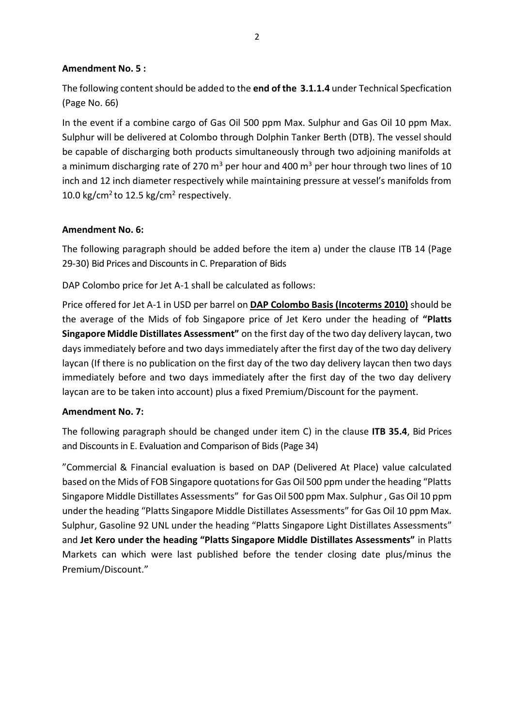## **Amendment No. 5 :**

The following content should be added to the **end of the 3.1.1.4** under Technical Specfication (Page No. 66)

In the event if a combine cargo of Gas Oil 500 ppm Max. Sulphur and Gas Oil 10 ppm Max. Sulphur will be delivered at Colombo through Dolphin Tanker Berth (DTB). The vessel should be capable of discharging both products simultaneously through two adjoining manifolds at a minimum discharging rate of 270  $m<sup>3</sup>$  per hour and 400  $m<sup>3</sup>$  per hour through two lines of 10 inch and 12 inch diameter respectively while maintaining pressure at vessel's manifolds from 10.0 kg/cm<sup>2</sup> to 12.5 kg/cm<sup>2</sup> respectively.

# **Amendment No. 6:**

The following paragraph should be added before the item a) under the clause ITB 14 (Page 29-30) Bid Prices and Discounts in C. Preparation of Bids

DAP Colombo price for Jet A-1 shall be calculated as follows:

Price offered for Jet A-1 in USD per barrel on **DAP Colombo Basis (Incoterms 2010)** should be the average of the Mids of fob Singapore price of Jet Kero under the heading of **"Platts Singapore Middle Distillates Assessment"** on the first day of the two day delivery laycan, two days immediately before and two days immediately after the first day of the two day delivery laycan (If there is no publication on the first day of the two day delivery laycan then two days immediately before and two days immediately after the first day of the two day delivery laycan are to be taken into account) plus a fixed Premium/Discount for the payment.

#### **Amendment No. 7:**

The following paragraph should be changed under item C) in the clause **ITB 35.4**, Bid Prices and Discounts in E. Evaluation and Comparison of Bids(Page 34)

"Commercial & Financial evaluation is based on DAP (Delivered At Place) value calculated based on the Mids of FOB Singapore quotations for Gas Oil 500 ppm under the heading "Platts Singapore Middle Distillates Assessments" for Gas Oil 500 ppm Max. Sulphur , Gas Oil 10 ppm under the heading "Platts Singapore Middle Distillates Assessments" for Gas Oil 10 ppm Max. Sulphur, Gasoline 92 UNL under the heading "Platts Singapore Light Distillates Assessments" and **Jet Kero under the heading "Platts Singapore Middle Distillates Assessments"** in Platts Markets can which were last published before the tender closing date plus/minus the Premium/Discount."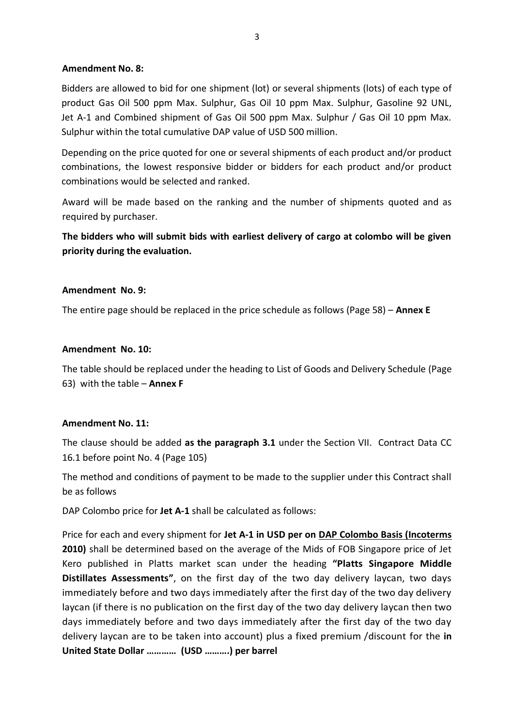#### **Amendment No. 8:**

Bidders are allowed to bid for one shipment (lot) or several shipments (lots) of each type of product Gas Oil 500 ppm Max. Sulphur, Gas Oil 10 ppm Max. Sulphur, Gasoline 92 UNL, Jet A-1 and Combined shipment of Gas Oil 500 ppm Max. Sulphur / Gas Oil 10 ppm Max. Sulphur within the total cumulative DAP value of USD 500 million.

Depending on the price quoted for one or several shipments of each product and/or product combinations, the lowest responsive bidder or bidders for each product and/or product combinations would be selected and ranked.

Award will be made based on the ranking and the number of shipments quoted and as required by purchaser.

**The bidders who will submit bids with earliest delivery of cargo at colombo will be given priority during the evaluation.** 

# **Amendment No. 9:**

The entire page should be replaced in the price schedule as follows (Page 58) – **Annex E**

#### **Amendment No. 10:**

The table should be replaced under the heading to List of Goods and Delivery Schedule (Page 63) with the table – **Annex F**

#### **Amendment No. 11:**

The clause should be added **as the paragraph 3.1** under the Section VII. Contract Data CC 16.1 before point No. 4 (Page 105)

The method and conditions of payment to be made to the supplier under this Contract shall be as follows

DAP Colombo price for **Jet A-1** shall be calculated as follows:

Price for each and every shipment for **Jet A-1 in USD per on DAP Colombo Basis (Incoterms 2010)** shall be determined based on the average of the Mids of FOB Singapore price of Jet Kero published in Platts market scan under the heading **"Platts Singapore Middle Distillates Assessments"**, on the first day of the two day delivery laycan, two days immediately before and two days immediately after the first day of the two day delivery laycan (if there is no publication on the first day of the two day delivery laycan then two days immediately before and two days immediately after the first day of the two day delivery laycan are to be taken into account) plus a fixed premium /discount for the **in United State Dollar ………… (USD ……….) per barrel**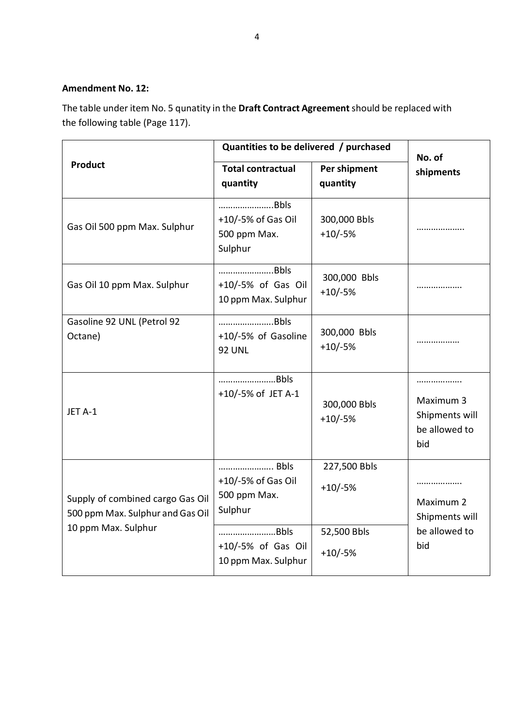# **Amendment No. 12:**

The table under item No. 5 qunatity in the **Draft Contract Agreement**should be replaced with the following table (Page 117).

| <b>Product</b>                                                                              | Quantities to be delivered / purchased                                              |                                          | No. of                                                   |
|---------------------------------------------------------------------------------------------|-------------------------------------------------------------------------------------|------------------------------------------|----------------------------------------------------------|
|                                                                                             | <b>Total contractual</b><br>quantity                                                | Per shipment<br>quantity                 | shipments                                                |
| Gas Oil 500 ppm Max. Sulphur                                                                | Bbls<br>+10/-5% of Gas Oil<br>500 ppm Max.<br>Sulphur                               | 300,000 Bbls<br>$+10/-5%$                | .                                                        |
| Gas Oil 10 ppm Max. Sulphur                                                                 | Bbls<br>+10/-5% of Gas Oil<br>10 ppm Max. Sulphur                                   | 300,000 Bbls<br>$+10/-5%$                | .                                                        |
| Gasoline 92 UNL (Petrol 92<br>Octane)                                                       | Bbls<br>+10/-5% of Gasoline<br><b>92 UNL</b>                                        | 300,000 Bbls<br>$+10/-5%$                |                                                          |
| JET A-1                                                                                     | Bbls<br>+10/-5% of JET A-1                                                          | 300,000 Bbls<br>$+10/-5%$                | Maximum 3<br>Shipments will<br>be allowed to<br>bid      |
| Supply of combined cargo Gas Oil<br>500 ppm Max. Sulphur and Gas Oil<br>10 ppm Max. Sulphur | Bbls<br>+10/-5% of Gas Oil<br>500 ppm Max.<br>Sulphur<br>Bbls<br>+10/-5% of Gas Oil | 227,500 Bbls<br>$+10/-5%$<br>52,500 Bbls | .<br>Maximum 2<br>Shipments will<br>be allowed to<br>bid |
|                                                                                             | 10 ppm Max. Sulphur                                                                 | $+10/-5%$                                |                                                          |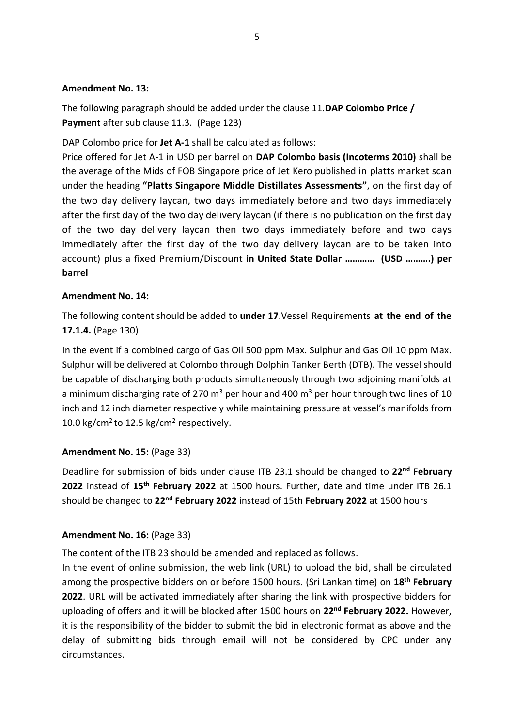#### **Amendment No. 13:**

The following paragraph should be added under the clause 11.**DAP Colombo Price / Payment** after sub clause 11.3. (Page 123)

DAP Colombo price for **Jet A-1** shall be calculated as follows:

Price offered for Jet A-1 in USD per barrel on **DAP Colombo basis (Incoterms 2010)** shall be the average of the Mids of FOB Singapore price of Jet Kero published in platts market scan under the heading **"Platts Singapore Middle Distillates Assessments"**, on the first day of the two day delivery laycan, two days immediately before and two days immediately after the first day of the two day delivery laycan (if there is no publication on the first day of the two day delivery laycan then two days immediately before and two days immediately after the first day of the two day delivery laycan are to be taken into account) plus a fixed Premium/Discount **in United State Dollar ………… (USD ……….) per barrel** 

# **Amendment No. 14:**

The following content should be added to **under 17**.Vessel Requirements **at the end of the 17.1.4.** (Page 130)

In the event if a combined cargo of Gas Oil 500 ppm Max. Sulphur and Gas Oil 10 ppm Max. Sulphur will be delivered at Colombo through Dolphin Tanker Berth (DTB). The vessel should be capable of discharging both products simultaneously through two adjoining manifolds at a minimum discharging rate of 270  $m<sup>3</sup>$  per hour and 400  $m<sup>3</sup>$  per hour through two lines of 10 inch and 12 inch diameter respectively while maintaining pressure at vessel's manifolds from 10.0 kg/cm<sup>2</sup> to 12.5 kg/cm<sup>2</sup> respectively.

# **Amendment No. 15:** (Page 33)

Deadline for submission of bids under clause ITB 23.1 should be changed to **22nd February 2022** instead of **15th February 2022** at 1500 hours. Further, date and time under ITB 26.1 should be changed to **22nd February 2022** instead of 15th **February 2022** at 1500 hours

# **Amendment No. 16:** (Page 33)

The content of the ITB 23 should be amended and replaced as follows.

In the event of online submission, the web link (URL) to upload the bid, shall be circulated among the prospective bidders on or before 1500 hours. (Sri Lankan time) on **18th February 2022**. URL will be activated immediately after sharing the link with prospective bidders for uploading of offers and it will be blocked after 1500 hours on **22nd February 2022.** However, it is the responsibility of the bidder to submit the bid in electronic format as above and the delay of submitting bids through email will not be considered by CPC under any circumstances.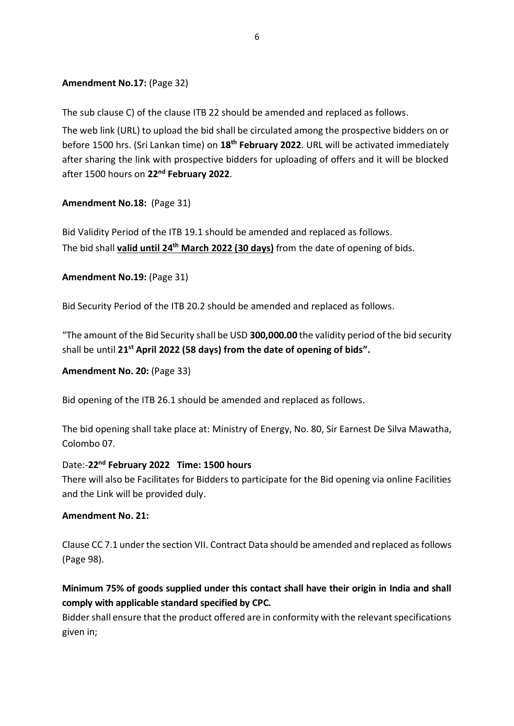# **Amendment No.17:** (Page 32)

The sub clause C) of the clause ITB 22 should be amended and replaced as follows.

The web link (URL) to upload the bid shall be circulated among the prospective bidders on or before 1500 hrs. (Sri Lankan time) on **18th February 2022**. URL will be activated immediately after sharing the link with prospective bidders for uploading of offers and it will be blocked after 1500 hours on **22nd February 2022**.

# **Amendment No.18:** (Page 31)

Bid Validity Period of the ITB 19.1 should be amended and replaced as follows. The bid shall **valid until 24 th March 2022 (30 days)** from the date of opening of bids.

**Amendment No.19:** (Page 31)

Bid Security Period of the ITB 20.2 should be amended and replaced as follows.

"The amount of the Bid Security shall be USD **300,000.00** the validity period of the bid security shall be until **21st April 2022 (58 days) from the date of opening of bids".**

# **Amendment No. 20:** (Page 33)

Bid opening of the ITB 26.1 should be amended and replaced as follows.

The bid opening shall take place at: Ministry of Energy, No. 80, Sir Earnest De Silva Mawatha, Colombo 07.

# Date:-**22nd February 2022 Time: 1500 hours**

There will also be Facilitates for Bidders to participate for the Bid opening via online Facilities and the Link will be provided duly.

# **Amendment No. 21:**

Clause CC 7.1 under the section VII. Contract Data should be amended and replaced as follows (Page 98).

# **Minimum 75% of goods supplied under this contact shall have their origin in India and shall comply with applicable standard specified by CPC.**

Bidder shall ensure that the product offered are in conformity with the relevant specifications given in;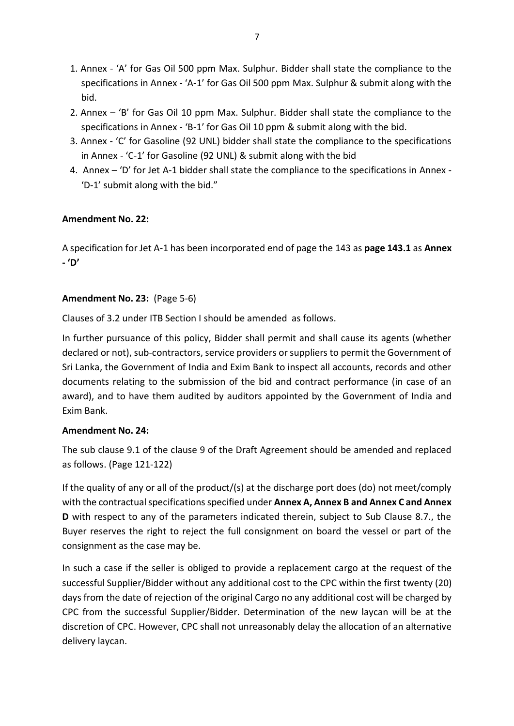- 1. Annex 'A' for Gas Oil 500 ppm Max. Sulphur. Bidder shall state the compliance to the specifications in Annex - 'A-1' for Gas Oil 500 ppm Max. Sulphur & submit along with the bid.
- 2. Annex 'B' for Gas Oil 10 ppm Max. Sulphur. Bidder shall state the compliance to the specifications in Annex - 'B-1' for Gas Oil 10 ppm & submit along with the bid.
- 3. Annex 'C' for Gasoline (92 UNL) bidder shall state the compliance to the specifications in Annex - 'C-1' for Gasoline (92 UNL) & submit along with the bid
- 4. Annex 'D' for Jet A-1 bidder shall state the compliance to the specifications in Annex 'D-1' submit along with the bid."

# **Amendment No. 22:**

A specification for Jet A-1 has been incorporated end of page the 143 as **page 143.1** as **Annex - 'D'**

# **Amendment No. 23:** (Page 5-6)

Clauses of 3.2 under ITB Section I should be amended as follows.

In further pursuance of this policy, Bidder shall permit and shall cause its agents (whether declared or not), sub-contractors, service providers or suppliers to permit the Government of Sri Lanka, the Government of India and Exim Bank to inspect all accounts, records and other documents relating to the submission of the bid and contract performance (in case of an award), and to have them audited by auditors appointed by the Government of India and Exim Bank.

# **Amendment No. 24:**

The sub clause 9.1 of the clause 9 of the Draft Agreement should be amended and replaced as follows. (Page 121-122)

If the quality of any or all of the product/(s) at the discharge port does (do) not meet/comply with the contractual specifications specified under **Annex A, Annex B and Annex C and Annex D** with respect to any of the parameters indicated therein, subject to Sub Clause 8.7., the Buyer reserves the right to reject the full consignment on board the vessel or part of the consignment as the case may be.

In such a case if the seller is obliged to provide a replacement cargo at the request of the successful Supplier/Bidder without any additional cost to the CPC within the first twenty (20) days from the date of rejection of the original Cargo no any additional cost will be charged by CPC from the successful Supplier/Bidder. Determination of the new laycan will be at the discretion of CPC. However, CPC shall not unreasonably delay the allocation of an alternative delivery laycan.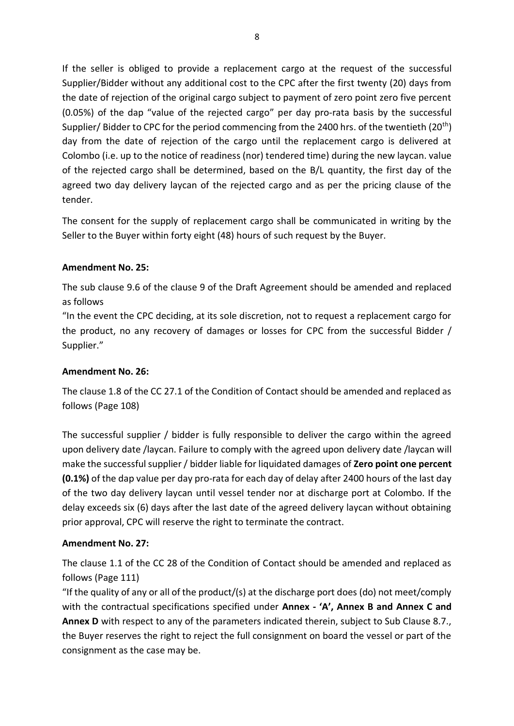If the seller is obliged to provide a replacement cargo at the request of the successful Supplier/Bidder without any additional cost to the CPC after the first twenty (20) days from the date of rejection of the original cargo subject to payment of zero point zero five percent (0.05%) of the dap "value of the rejected cargo" per day pro-rata basis by the successful Supplier/ Bidder to CPC for the period commencing from the 2400 hrs. of the twentieth (20<sup>th</sup>) day from the date of rejection of the cargo until the replacement cargo is delivered at Colombo (i.e. up to the notice of readiness (nor) tendered time) during the new laycan. value of the rejected cargo shall be determined, based on the B/L quantity, the first day of the agreed two day delivery laycan of the rejected cargo and as per the pricing clause of the tender.

The consent for the supply of replacement cargo shall be communicated in writing by the Seller to the Buyer within forty eight (48) hours of such request by the Buyer.

# **Amendment No. 25:**

The sub clause 9.6 of the clause 9 of the Draft Agreement should be amended and replaced as follows

"In the event the CPC deciding, at its sole discretion, not to request a replacement cargo for the product, no any recovery of damages or losses for CPC from the successful Bidder / Supplier."

# **Amendment No. 26:**

The clause 1.8 of the CC 27.1 of the Condition of Contact should be amended and replaced as follows (Page 108)

The successful supplier / bidder is fully responsible to deliver the cargo within the agreed upon delivery date /laycan. Failure to comply with the agreed upon delivery date /laycan will make the successful supplier / bidder liable for liquidated damages of **Zero point one percent (0.1%)** of the dap value per day pro-rata for each day of delay after 2400 hours of the last day of the two day delivery laycan until vessel tender nor at discharge port at Colombo. If the delay exceeds six (6) days after the last date of the agreed delivery laycan without obtaining prior approval, CPC will reserve the right to terminate the contract.

# **Amendment No. 27:**

The clause 1.1 of the CC 28 of the Condition of Contact should be amended and replaced as follows (Page 111)

"If the quality of any or all of the product/(s) at the discharge port does (do) not meet/comply with the contractual specifications specified under **Annex - 'A', Annex B and Annex C and Annex D** with respect to any of the parameters indicated therein, subject to Sub Clause 8.7., the Buyer reserves the right to reject the full consignment on board the vessel or part of the consignment as the case may be.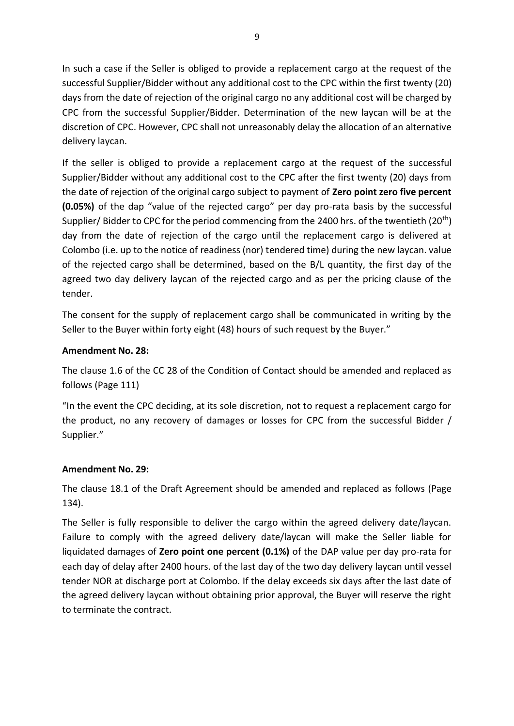In such a case if the Seller is obliged to provide a replacement cargo at the request of the successful Supplier/Bidder without any additional cost to the CPC within the first twenty (20) days from the date of rejection of the original cargo no any additional cost will be charged by CPC from the successful Supplier/Bidder. Determination of the new laycan will be at the discretion of CPC. However, CPC shall not unreasonably delay the allocation of an alternative delivery laycan.

If the seller is obliged to provide a replacement cargo at the request of the successful Supplier/Bidder without any additional cost to the CPC after the first twenty (20) days from the date of rejection of the original cargo subject to payment of **Zero point zero five percent (0.05%)** of the dap "value of the rejected cargo" per day pro-rata basis by the successful Supplier/ Bidder to CPC for the period commencing from the 2400 hrs. of the twentieth (20<sup>th</sup>) day from the date of rejection of the cargo until the replacement cargo is delivered at Colombo (i.e. up to the notice of readiness (nor) tendered time) during the new laycan. value of the rejected cargo shall be determined, based on the B/L quantity, the first day of the agreed two day delivery laycan of the rejected cargo and as per the pricing clause of the tender.

The consent for the supply of replacement cargo shall be communicated in writing by the Seller to the Buyer within forty eight (48) hours of such request by the Buyer."

# **Amendment No. 28:**

The clause 1.6 of the CC 28 of the Condition of Contact should be amended and replaced as follows (Page 111)

"In the event the CPC deciding, at its sole discretion, not to request a replacement cargo for the product, no any recovery of damages or losses for CPC from the successful Bidder / Supplier."

#### **Amendment No. 29:**

The clause 18.1 of the Draft Agreement should be amended and replaced as follows (Page 134).

The Seller is fully responsible to deliver the cargo within the agreed delivery date/laycan. Failure to comply with the agreed delivery date/laycan will make the Seller liable for liquidated damages of **Zero point one percent (0.1%)** of the DAP value per day pro-rata for each day of delay after 2400 hours. of the last day of the two day delivery laycan until vessel tender NOR at discharge port at Colombo. If the delay exceeds six days after the last date of the agreed delivery laycan without obtaining prior approval, the Buyer will reserve the right to terminate the contract.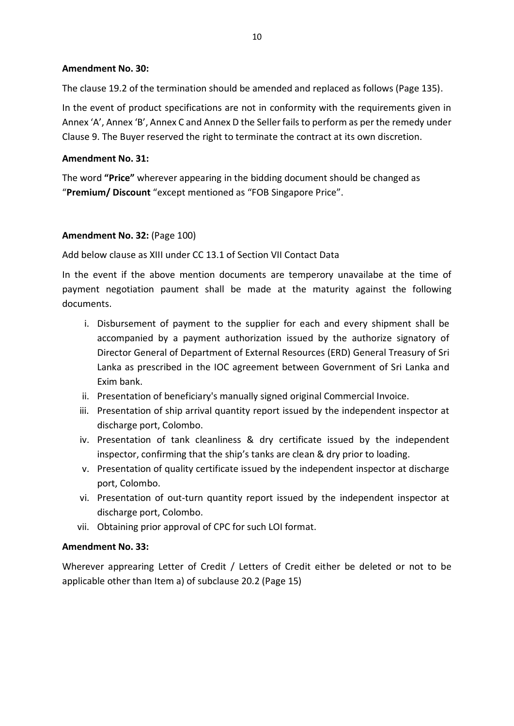#### **Amendment No. 30:**

The clause 19.2 of the termination should be amended and replaced as follows (Page 135).

In the event of product specifications are not in conformity with the requirements given in Annex 'A', Annex 'B', Annex C and Annex D the Seller fails to perform as per the remedy under Clause 9. The Buyer reserved the right to terminate the contract at its own discretion.

#### **Amendment No. 31:**

The word **"Price"** wherever appearing in the bidding document should be changed as "**Premium/ Discount** "except mentioned as "FOB Singapore Price".

#### **Amendment No. 32:** (Page 100)

#### Add below clause as XIII under CC 13.1 of Section VII Contact Data

In the event if the above mention documents are temperory unavailabe at the time of payment negotiation paument shall be made at the maturity against the following documents.

- i. Disbursement of payment to the supplier for each and every shipment shall be accompanied by a payment authorization issued by the authorize signatory of Director General of Department of External Resources (ERD) General Treasury of Sri Lanka as prescribed in the IOC agreement between Government of Sri Lanka and Exim bank.
- ii. Presentation of beneficiary's manually signed original Commercial Invoice.
- iii. Presentation of ship arrival quantity report issued by the independent inspector at discharge port, Colombo.
- iv. Presentation of tank cleanliness & dry certificate issued by the independent inspector, confirming that the ship's tanks are clean & dry prior to loading.
- v. Presentation of quality certificate issued by the independent inspector at discharge port, Colombo.
- vi. Presentation of out-turn quantity report issued by the independent inspector at discharge port, Colombo.
- vii. Obtaining prior approval of CPC for such LOI format.

#### **Amendment No. 33:**

Wherever apprearing Letter of Credit / Letters of Credit either be deleted or not to be applicable other than Item a) of subclause 20.2 (Page 15)